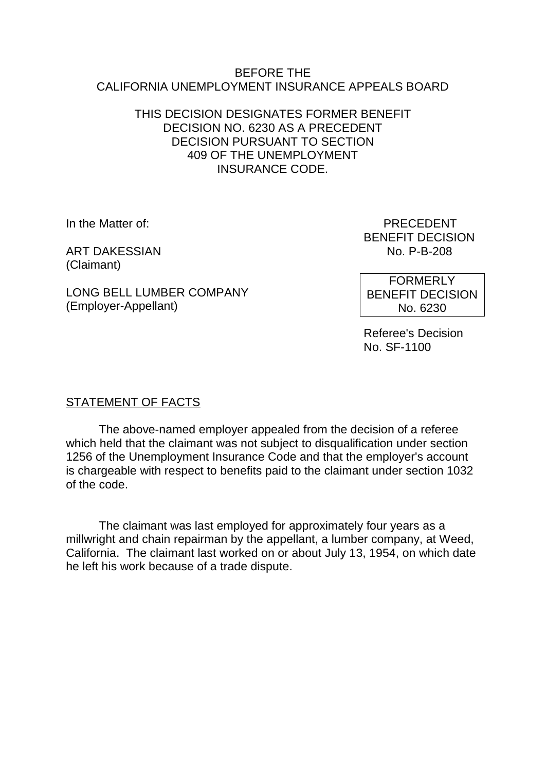#### BEFORE THE CALIFORNIA UNEMPLOYMENT INSURANCE APPEALS BOARD

#### THIS DECISION DESIGNATES FORMER BENEFIT DECISION NO. 6230 AS A PRECEDENT DECISION PURSUANT TO SECTION 409 OF THE UNEMPLOYMENT INSURANCE CODE.

In the Matter of: PRECEDENT

**ART DAKESSIAN** (Claimant)

BENEFIT DECISION<br>No. P-B-208

LONG BELL LUMBER COMPANY (Employer-Appellant)

FORMERLY BENEFIT DECISION No. 6230

Referee's Decision No. SF-1100

# STATEMENT OF FACTS

The above-named employer appealed from the decision of a referee which held that the claimant was not subject to disqualification under section 1256 of the Unemployment Insurance Code and that the employer's account is chargeable with respect to benefits paid to the claimant under section 1032 of the code.

The claimant was last employed for approximately four years as a millwright and chain repairman by the appellant, a lumber company, at Weed, California. The claimant last worked on or about July 13, 1954, on which date he left his work because of a trade dispute.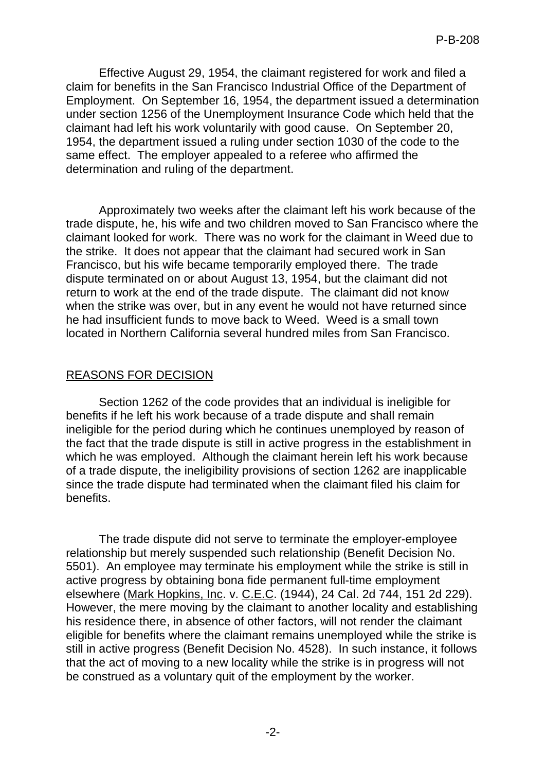Effective August 29, 1954, the claimant registered for work and filed a claim for benefits in the San Francisco Industrial Office of the Department of Employment. On September 16, 1954, the department issued a determination under section 1256 of the Unemployment Insurance Code which held that the claimant had left his work voluntarily with good cause. On September 20, 1954, the department issued a ruling under section 1030 of the code to the same effect. The employer appealed to a referee who affirmed the determination and ruling of the department.

Approximately two weeks after the claimant left his work because of the trade dispute, he, his wife and two children moved to San Francisco where the claimant looked for work. There was no work for the claimant in Weed due to the strike. It does not appear that the claimant had secured work in San Francisco, but his wife became temporarily employed there. The trade dispute terminated on or about August 13, 1954, but the claimant did not return to work at the end of the trade dispute. The claimant did not know when the strike was over, but in any event he would not have returned since he had insufficient funds to move back to Weed. Weed is a small town located in Northern California several hundred miles from San Francisco.

## REASONS FOR DECISION

Section 1262 of the code provides that an individual is ineligible for benefits if he left his work because of a trade dispute and shall remain ineligible for the period during which he continues unemployed by reason of the fact that the trade dispute is still in active progress in the establishment in which he was employed. Although the claimant herein left his work because of a trade dispute, the ineligibility provisions of section 1262 are inapplicable since the trade dispute had terminated when the claimant filed his claim for benefits.

The trade dispute did not serve to terminate the employer-employee relationship but merely suspended such relationship (Benefit Decision No. 5501). An employee may terminate his employment while the strike is still in active progress by obtaining bona fide permanent full-time employment elsewhere (Mark Hopkins, Inc. v. C.E.C. (1944), 24 Cal. 2d 744, 151 2d 229). However, the mere moving by the claimant to another locality and establishing his residence there, in absence of other factors, will not render the claimant eligible for benefits where the claimant remains unemployed while the strike is still in active progress (Benefit Decision No. 4528). In such instance, it follows that the act of moving to a new locality while the strike is in progress will not be construed as a voluntary quit of the employment by the worker.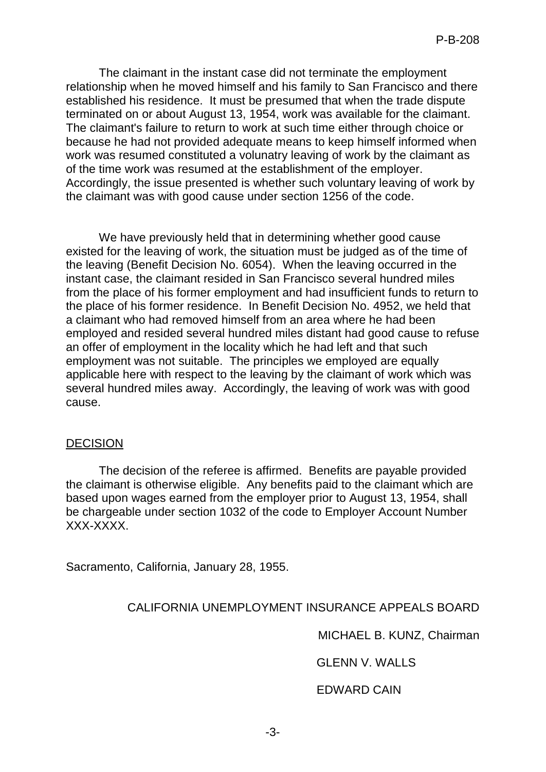The claimant in the instant case did not terminate the employment relationship when he moved himself and his family to San Francisco and there established his residence. It must be presumed that when the trade dispute terminated on or about August 13, 1954, work was available for the claimant. The claimant's failure to return to work at such time either through choice or because he had not provided adequate means to keep himself informed when work was resumed constituted a volunatry leaving of work by the claimant as of the time work was resumed at the establishment of the employer. Accordingly, the issue presented is whether such voluntary leaving of work by the claimant was with good cause under section 1256 of the code.

We have previously held that in determining whether good cause existed for the leaving of work, the situation must be judged as of the time of the leaving (Benefit Decision No. 6054). When the leaving occurred in the instant case, the claimant resided in San Francisco several hundred miles from the place of his former employment and had insufficient funds to return to the place of his former residence. In Benefit Decision No. 4952, we held that a claimant who had removed himself from an area where he had been employed and resided several hundred miles distant had good cause to refuse an offer of employment in the locality which he had left and that such employment was not suitable. The principles we employed are equally applicable here with respect to the leaving by the claimant of work which was several hundred miles away. Accordingly, the leaving of work was with good cause.

#### DECISION

The decision of the referee is affirmed. Benefits are payable provided the claimant is otherwise eligible. Any benefits paid to the claimant which are based upon wages earned from the employer prior to August 13, 1954, shall be chargeable under section 1032 of the code to Employer Account Number XXX-XXXX.

Sacramento, California, January 28, 1955.

# CALIFORNIA UNEMPLOYMENT INSURANCE APPEALS BOARD

MICHAEL B. KUNZ, Chairman

GLENN V. WALLS

EDWARD CAIN